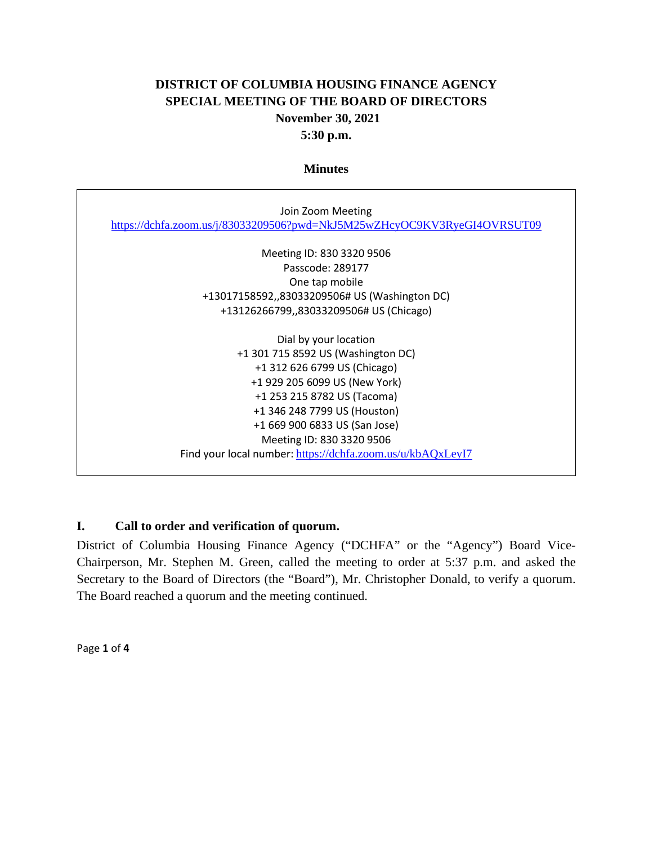# **DISTRICT OF COLUMBIA HOUSING FINANCE AGENCY SPECIAL MEETING OF THE BOARD OF DIRECTORS November 30, 2021 5:30 p.m.**

#### **Minutes**

| Join Zoom Meeting                                                        |
|--------------------------------------------------------------------------|
| https://dchfa.zoom.us/j/83033209506?pwd=NkJ5M25wZHcyOC9KV3RyeGI4OVRSUT09 |
|                                                                          |
| Meeting ID: 830 3320 9506                                                |
| Passcode: 289177                                                         |
| One tap mobile                                                           |
| +13017158592,,83033209506# US (Washington DC)                            |
| +13126266799,,83033209506# US (Chicago)                                  |
|                                                                          |
| Dial by your location                                                    |
| +1 301 715 8592 US (Washington DC)                                       |
| +1 312 626 6799 US (Chicago)                                             |
| +1 929 205 6099 US (New York)                                            |
| +1 253 215 8782 US (Tacoma)                                              |
| +1 346 248 7799 US (Houston)                                             |
| +1 669 900 6833 US (San Jose)                                            |
| Meeting ID: 830 3320 9506                                                |
| Find your local number: https://dchfa.zoom.us/u/kbAQxLeyI7               |

#### **I. Call to order and verification of quorum.**

District of Columbia Housing Finance Agency ("DCHFA" or the "Agency") Board Vice-Chairperson, Mr. Stephen M. Green, called the meeting to order at 5:37 p.m. and asked the Secretary to the Board of Directors (the "Board"), Mr. Christopher Donald, to verify a quorum. The Board reached a quorum and the meeting continued.

Page **1** of **4**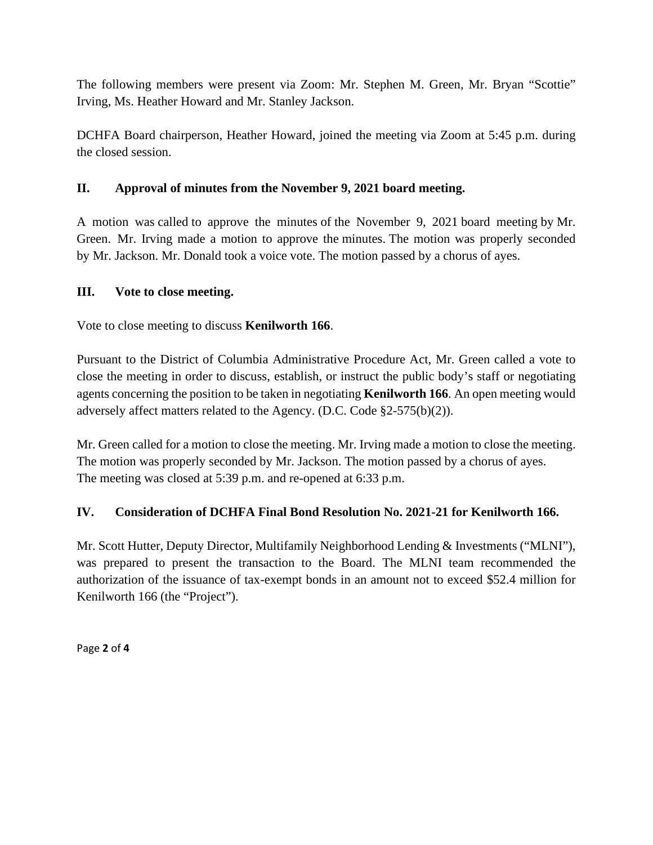The following members were present via Zoom: Mr. Stephen M. Green, Mr. Bryan "Scottie" Irving, Ms. Heather Howard and Mr. Stanley Jackson.

DCHFA Board chairperson, Heather Howard, joined the meeting via Zoom at 5:45 p.m. during the closed session.

# **II. Approval of minutes from the November 9, 2021 board meeting.**

A motion was called to approve the minutes of the November 9, 2021 board meeting by Mr. Green. Mr. Irving made a motion to approve the minutes. The motion was properly seconded by Mr. Jackson. Mr. Donald took a voice vote. The motion passed by a chorus of ayes.

# **III. Vote to close meeting.**

Vote to close meeting to discuss **Kenilworth 166**.

Pursuant to the District of Columbia Administrative Procedure Act, Mr. Green called a vote to close the meeting in order to discuss, establish, or instruct the public body's staff or negotiating agents concerning the position to be taken in negotiating **Kenilworth 166**. An open meeting would adversely affect matters related to the Agency. (D.C. Code §2-575(b)(2)).

Mr. Green called for a motion to close the meeting. Mr. Irving made a motion to close the meeting. The motion was properly seconded by Mr. Jackson. The motion passed by a chorus of ayes. The meeting was closed at 5:39 p.m. and re-opened at 6:33 p.m.

# **IV. Consideration of DCHFA Final Bond Resolution No. 2021-21 for Kenilworth 166.**

Mr. Scott Hutter, Deputy Director, Multifamily Neighborhood Lending & Investments ("MLNI"), was prepared to present the transaction to the Board. The MLNI team recommended the authorization of the issuance of tax-exempt bonds in an amount not to exceed \$52.4 million for Kenilworth 166 (the "Project").

Page **2** of **4**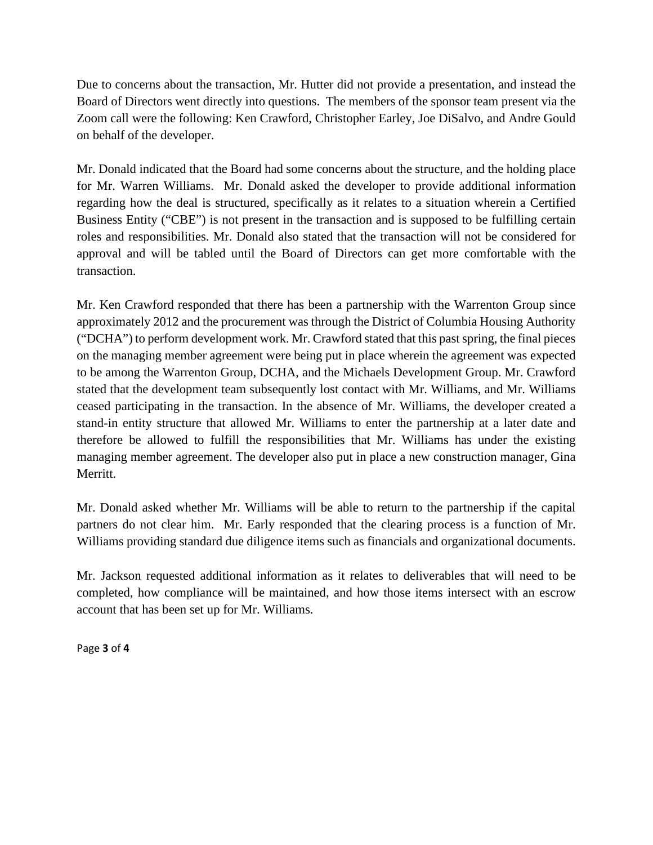Due to concerns about the transaction, Mr. Hutter did not provide a presentation, and instead the Board of Directors went directly into questions. The members of the sponsor team present via the Zoom call were the following: Ken Crawford, Christopher Earley, Joe DiSalvo, and Andre Gould on behalf of the developer.

Mr. Donald indicated that the Board had some concerns about the structure, and the holding place for Mr. Warren Williams. Mr. Donald asked the developer to provide additional information regarding how the deal is structured, specifically as it relates to a situation wherein a Certified Business Entity ("CBE") is not present in the transaction and is supposed to be fulfilling certain roles and responsibilities. Mr. Donald also stated that the transaction will not be considered for approval and will be tabled until the Board of Directors can get more comfortable with the transaction.

Mr. Ken Crawford responded that there has been a partnership with the Warrenton Group since approximately 2012 and the procurement was through the District of Columbia Housing Authority ("DCHA") to perform development work. Mr. Crawford stated that this past spring, the final pieces on the managing member agreement were being put in place wherein the agreement was expected to be among the Warrenton Group, DCHA, and the Michaels Development Group. Mr. Crawford stated that the development team subsequently lost contact with Mr. Williams, and Mr. Williams ceased participating in the transaction. In the absence of Mr. Williams, the developer created a stand-in entity structure that allowed Mr. Williams to enter the partnership at a later date and therefore be allowed to fulfill the responsibilities that Mr. Williams has under the existing managing member agreement. The developer also put in place a new construction manager, Gina Merritt.

Mr. Donald asked whether Mr. Williams will be able to return to the partnership if the capital partners do not clear him. Mr. Early responded that the clearing process is a function of Mr. Williams providing standard due diligence items such as financials and organizational documents.

Mr. Jackson requested additional information as it relates to deliverables that will need to be completed, how compliance will be maintained, and how those items intersect with an escrow account that has been set up for Mr. Williams.

Page **3** of **4**